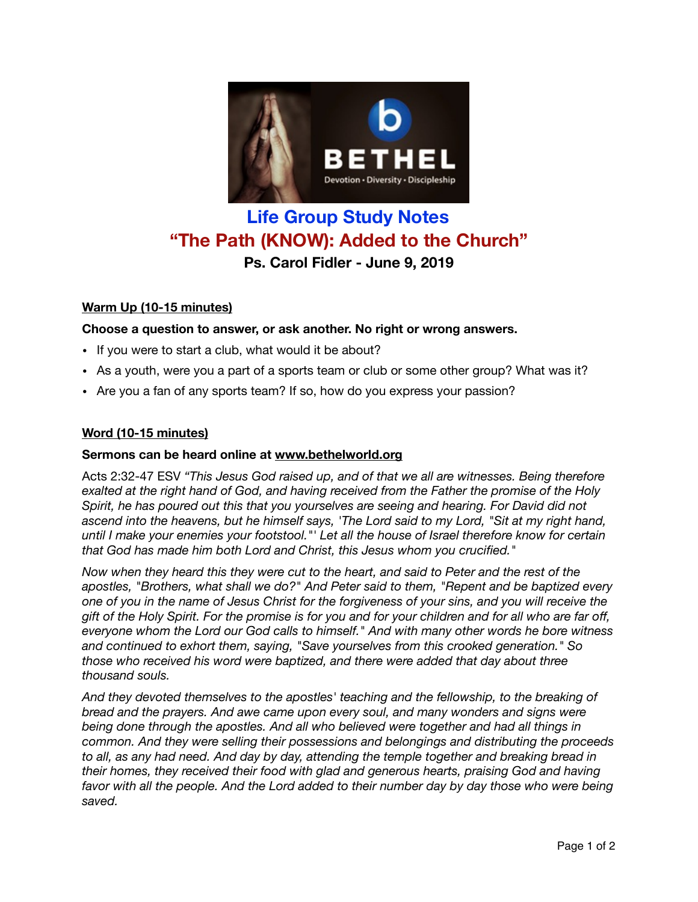

# **Life Group Study Notes "The Path (KNOW): Added to the Church" Ps. Carol Fidler - June 9, 2019**

# **Warm Up (10-15 minutes)**

# **Choose a question to answer, or ask another. No right or wrong answers.**

- If you were to start a club, what would it be about?
- As a youth, were you a part of a sports team or club or some other group? What was it?
- Are you a fan of any sports team? If so, how do you express your passion?

# **Word (10-15 minutes)**

# **Sermons can be heard online at [www.bethelworld.org](http://www.bethelworld.org)**

Acts 2:32-47 ESV *"This Jesus God raised up, and of that we all are witnesses. Being therefore exalted at the right hand of God, and having received from the Father the promise of the Holy Spirit, he has poured out this that you yourselves are seeing and hearing. For David did not ascend into the heavens, but he himself says, 'The Lord said to my Lord, "Sit at my right hand, until I make your enemies your footstool."' Let all the house of Israel therefore know for certain that God has made him both Lord and Christ, this Jesus whom you crucified."* 

*Now when they heard this they were cut to the heart, and said to Peter and the rest of the apostles, "Brothers, what shall we do?" And Peter said to them, "Repent and be baptized every one of you in the name of Jesus Christ for the forgiveness of your sins, and you will receive the gift of the Holy Spirit. For the promise is for you and for your children and for all who are far off, everyone whom the Lord our God calls to himself." And with many other words he bore witness and continued to exhort them, saying, "Save yourselves from this crooked generation." So those who received his word were baptized, and there were added that day about three thousand souls.* 

*And they devoted themselves to the apostles' teaching and the fellowship, to the breaking of bread and the prayers. And awe came upon every soul, and many wonders and signs were being done through the apostles. And all who believed were together and had all things in common. And they were selling their possessions and belongings and distributing the proceeds to all, as any had need. And day by day, attending the temple together and breaking bread in their homes, they received their food with glad and generous hearts, praising God and having*  favor with all the people. And the Lord added to their number day by day those who were being *saved.*